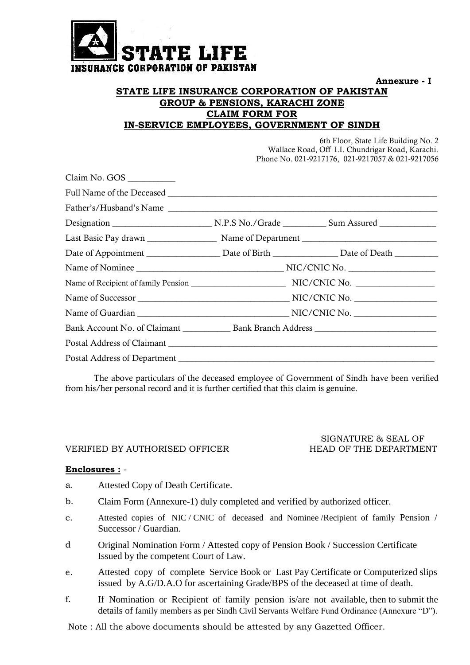

**Annexure - I** 

### **STATE LIFE INSURANCE CORPORATION OF PAKISTAN GROUP & PENSIONS, KARACHI ZONE CLAIM FORM FOR IN-SERVICE EMPLOYEES, GOVERNMENT OF SINDH**

6th Floor, State Life Building No. 2 Wallace Road, Off I.I. Chundrigar Road, Karachi. Phone No. 021-9217176, 021-9217057 & 021-9217056

| Claim No. GOS                                                                                        |  |
|------------------------------------------------------------------------------------------------------|--|
|                                                                                                      |  |
|                                                                                                      |  |
|                                                                                                      |  |
|                                                                                                      |  |
|                                                                                                      |  |
|                                                                                                      |  |
|                                                                                                      |  |
|                                                                                                      |  |
|                                                                                                      |  |
| Bank Account No. of Claimant ________________ Bank Branch Address __________________________________ |  |
|                                                                                                      |  |
|                                                                                                      |  |

The above particulars of the deceased employee of Government of Sindh have been verified from his/her personal record and it is further certified that this claim is genuine.

#### VERIFIED BY AUTHORISED OFFICER HEAD OF THE DEPARTMENT

# SIGNATURE & SEAL OF

#### **Enclosures :** -

- a. Attested Copy of Death Certificate.
- b. Claim Form (Annexure-1) duly completed and verified by authorized officer.
- c. Attested copies of NIC / CNIC of deceased and Nominee /Recipient of family Pension / Successor / Guardian.
- d Original Nomination Form / Attested copy of Pension Book / Succession Certificate Issued by the competent Court of Law.
- e. Attested copy of complete Service Book or Last Pay Certificate or Computerized slips issued by A.G/D.A.O for ascertaining Grade/BPS of the deceased at time of death.
- f. If Nomination or Recipient of family pension is/are not available, then to submit the details of family members as per Sindh Civil Servants Welfare Fund Ordinance (Annexure "D").

Note : All the above documents should be attested by any Gazetted Officer.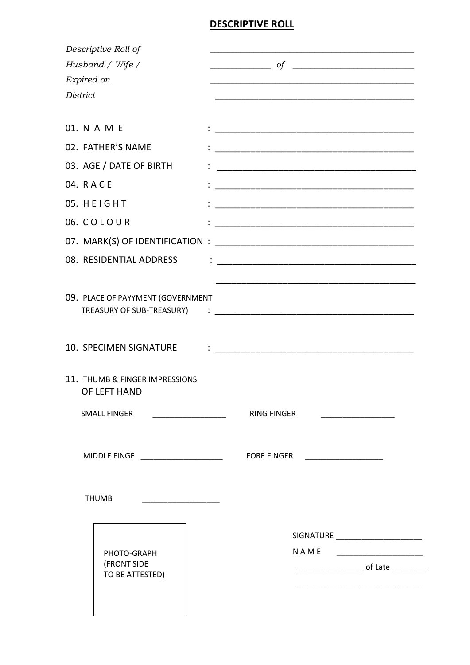## **DESCRIPTIVE ROLL**

|            | Descriptive Roll of                            |                                                                                                                                                                                                                                      |
|------------|------------------------------------------------|--------------------------------------------------------------------------------------------------------------------------------------------------------------------------------------------------------------------------------------|
|            | Husband / Wife /                               | $\overline{\hspace{1cm}}$ of $\overline{\hspace{1cm}}$                                                                                                                                                                               |
| Expired on |                                                |                                                                                                                                                                                                                                      |
| District   |                                                |                                                                                                                                                                                                                                      |
|            |                                                |                                                                                                                                                                                                                                      |
|            | 01. N A M E                                    |                                                                                                                                                                                                                                      |
|            | 02. FATHER'S NAME                              |                                                                                                                                                                                                                                      |
|            | 03. AGE / DATE OF BIRTH                        |                                                                                                                                                                                                                                      |
| 04. RACE   |                                                |                                                                                                                                                                                                                                      |
|            | 05. HEIGHT                                     |                                                                                                                                                                                                                                      |
|            | 06. COLOUR                                     |                                                                                                                                                                                                                                      |
|            |                                                |                                                                                                                                                                                                                                      |
|            | 08. RESIDENTIAL ADDRESS                        |                                                                                                                                                                                                                                      |
|            |                                                |                                                                                                                                                                                                                                      |
|            | 09. PLACE OF PAYYMENT (GOVERNMENT              |                                                                                                                                                                                                                                      |
|            | TREASURY OF SUB-TREASURY)                      | <u> 2008 - Januar John Harry Harry Harry Harry Harry Harry Harry Harry Harry Harry Harry Harry Harry Harry Harry Harry Harry Harry Harry Harry Harry Harry Harry Harry Harry Harry Harry Harry Harry Harry Harry Harry Harry Har</u> |
|            |                                                |                                                                                                                                                                                                                                      |
|            | 10. SPECIMEN SIGNATURE                         | .<br>• <u>——————————————————————————————</u>                                                                                                                                                                                         |
|            |                                                |                                                                                                                                                                                                                                      |
|            | 11. THUMB & FINGER IMPRESSIONS<br>OF LEFT HAND |                                                                                                                                                                                                                                      |
|            | SMALL FINGER                                   | <b>RING FINGER</b>                                                                                                                                                                                                                   |
|            |                                                | <u> 1990 - Johann Marie Barn, mars e</u>                                                                                                                                                                                             |
|            |                                                |                                                                                                                                                                                                                                      |
|            | MIDDLE FINGE ___________________               | <b>FORE FINGER</b>                                                                                                                                                                                                                   |
|            |                                                |                                                                                                                                                                                                                                      |
|            | <b>THUMB</b>                                   |                                                                                                                                                                                                                                      |
|            |                                                |                                                                                                                                                                                                                                      |
|            |                                                | SIGNATURE ________________________                                                                                                                                                                                                   |
|            | PHOTO-GRAPH                                    | <b>NAME</b>                                                                                                                                                                                                                          |
|            | (FRONT SIDE                                    | __________________________ of Late ___________                                                                                                                                                                                       |
|            | TO BE ATTESTED)                                |                                                                                                                                                                                                                                      |
|            |                                                |                                                                                                                                                                                                                                      |
|            |                                                |                                                                                                                                                                                                                                      |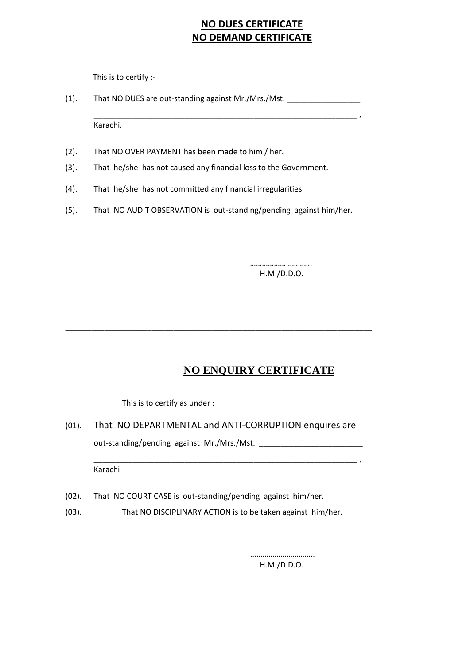## **NO DUES CERTIFICATE NO DEMAND CERTIFICATE**

This is to certify :-

(1). That NO DUES are out-standing against Mr./Mrs./Mst. \_\_\_\_\_\_\_\_\_\_\_\_\_\_\_\_\_\_\_\_\_\_\_

\_\_\_\_\_\_\_\_\_\_\_\_\_\_\_\_\_\_\_\_\_\_\_\_\_\_\_\_\_\_\_\_\_\_\_\_\_\_\_\_\_\_\_\_\_\_\_\_\_\_\_\_\_\_\_\_\_\_\_\_\_ ,

Karachi.

- (2). That NO OVER PAYMENT has been made to him / her.
- (3). That he/she has not caused any financial loss to the Government.
- (4). That he/she has not committed any financial irregularities.
- (5). That NO AUDIT OBSERVATION is out-standing/pending against him/her.

………………………… H.M./D.D.O.

## **NO ENQUIRY CERTIFICATE**

This is to certify as under :

(01). That NO DEPARTMENTAL and ANTI-CORRUPTION enquires are out-standing/pending against Mr./Mrs./Mst. \_\_\_\_\_\_\_\_\_\_\_\_\_\_\_\_\_\_\_\_\_\_\_\_

\_\_\_\_\_\_\_\_\_\_\_\_\_\_\_\_\_\_\_\_\_\_\_\_\_\_\_\_\_\_\_\_\_\_\_\_\_\_\_\_\_\_\_\_\_\_\_\_\_\_\_\_\_\_\_\_\_\_\_\_\_ ,

\_\_\_\_\_\_\_\_\_\_\_\_\_\_\_\_\_\_\_\_\_\_\_\_\_\_\_\_\_\_\_\_\_\_\_\_\_\_\_\_\_\_\_\_\_\_\_\_\_\_\_\_\_\_\_\_\_\_\_\_\_\_\_\_\_\_\_\_\_\_\_

Karachi

- (02). That NO COURT CASE is out-standing/pending against him/her.
- (03). That NO DISCIPLINARY ACTION is to be taken against him/her.

 ...……………………….. H.M./D.D.O.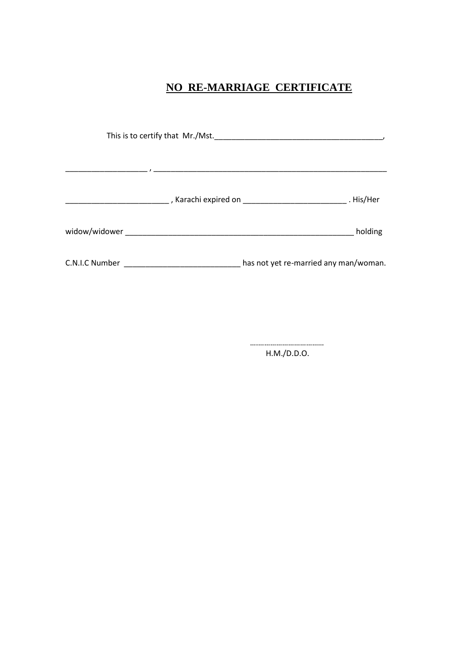## **NO RE-MARRIAGE CERTIFICATE**

|                | holding                               |
|----------------|---------------------------------------|
| C.N.I.C Number | has not yet re-married any man/woman. |

 ….…………………………… H.M./D.D.O.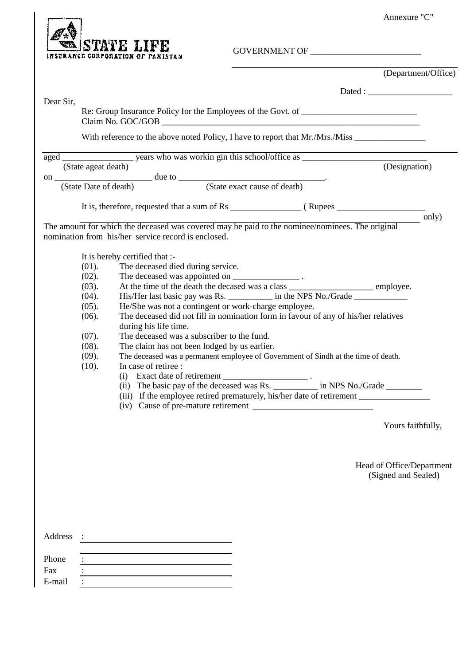Annexure "C"



GOVERNMENT OF \_\_\_\_\_\_\_\_\_\_\_\_\_\_\_\_\_\_\_\_\_\_\_\_\_

|           |                       |                                                                                                                                                        |  |                                                  | (Department/Office) |
|-----------|-----------------------|--------------------------------------------------------------------------------------------------------------------------------------------------------|--|--------------------------------------------------|---------------------|
|           |                       |                                                                                                                                                        |  |                                                  |                     |
| Dear Sir, |                       | Re: Group Insurance Policy for the Employees of the Govt. of ____________________                                                                      |  |                                                  |                     |
|           |                       |                                                                                                                                                        |  |                                                  |                     |
|           |                       |                                                                                                                                                        |  |                                                  |                     |
|           |                       |                                                                                                                                                        |  |                                                  |                     |
|           | (State Date of death) | on (State Date of death) due to (State exact cause of death)                                                                                           |  |                                                  |                     |
|           |                       |                                                                                                                                                        |  |                                                  |                     |
|           |                       | The amount for which the deceased was covered may be paid to the nominee/nominees. The original<br>nomination from his/her service record is enclosed. |  |                                                  | only)               |
|           |                       | It is hereby certified that :-                                                                                                                         |  |                                                  |                     |
|           | $(01)$ .<br>$(02)$ .  | The deceased died during service.<br>The deceased was appointed on _______________________.                                                            |  |                                                  |                     |
|           | $(03)$ .              | The deceased was appointed on _____________________.<br>At the time of the death the decased was a class ________________________________ employee.    |  |                                                  |                     |
|           | $(04)$ .              | His/Her last basic pay was Rs. ___________ in the NPS No./Grade _________________                                                                      |  |                                                  |                     |
|           | $(05)$ .<br>(06).     | He/She was not a contingent or work-charge employee.<br>The deceased did not fill in nomination form in favour of any of his/her relatives             |  |                                                  |                     |
|           |                       | during his life time.                                                                                                                                  |  |                                                  |                     |
|           | $(07)$ .              | The deceased was a subscriber to the fund.                                                                                                             |  |                                                  |                     |
|           | (08).<br>(09).        | The claim has not been lodged by us earlier.<br>The deceased was a permanent employee of Government of Sindh at the time of death.                     |  |                                                  |                     |
|           | (10).                 | In case of retiree :                                                                                                                                   |  |                                                  |                     |
|           |                       |                                                                                                                                                        |  |                                                  |                     |
|           |                       |                                                                                                                                                        |  |                                                  |                     |
|           |                       | (iv) Cause of pre-mature retirement                                                                                                                    |  |                                                  |                     |
|           |                       |                                                                                                                                                        |  | Yours faithfully,                                |                     |
|           |                       |                                                                                                                                                        |  |                                                  |                     |
|           |                       |                                                                                                                                                        |  | Head of Office/Department<br>(Signed and Sealed) |                     |
|           |                       |                                                                                                                                                        |  |                                                  |                     |
| Address   |                       |                                                                                                                                                        |  |                                                  |                     |
| Phone     |                       |                                                                                                                                                        |  |                                                  |                     |
| Fax       |                       |                                                                                                                                                        |  |                                                  |                     |
| E-mail    |                       |                                                                                                                                                        |  |                                                  |                     |
|           |                       |                                                                                                                                                        |  |                                                  |                     |
|           |                       |                                                                                                                                                        |  |                                                  |                     |
|           |                       |                                                                                                                                                        |  |                                                  |                     |
|           |                       |                                                                                                                                                        |  |                                                  |                     |